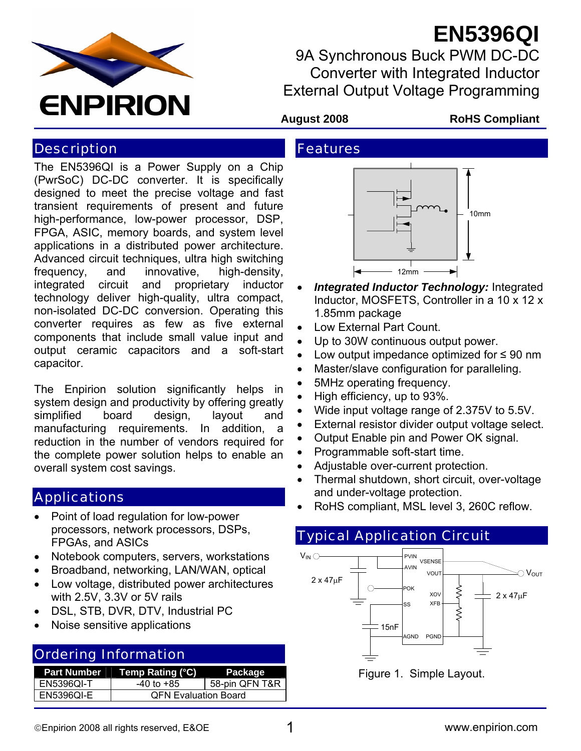

# **EN5396QI**

9A Synchronous Buck PWM DC-DC Converter with Integrated Inductor External Output Voltage Programming

#### **Description**

The EN5396QI is a Power Supply on a Chip (PwrSoC) DC-DC converter. It is specifically designed to meet the precise voltage and fast transient requirements of present and future high-performance, low-power processor, DSP, FPGA, ASIC, memory boards, and system level applications in a distributed power architecture. Advanced circuit techniques, ultra high switching frequency, and innovative, high-density, integrated circuit and proprietary inductor technology deliver high-quality, ultra compact, non-isolated DC-DC conversion. Operating this converter requires as few as five external components that include small value input and output ceramic capacitors and a soft-start capacitor.

The Enpirion solution significantly helps in system design and productivity by offering greatly simplified board design, layout and manufacturing requirements. In addition, a reduction in the number of vendors required for the complete power solution helps to enable an overall system cost savings.

#### **Applications**

- Point of load regulation for low-power processors, network processors, DSPs, FPGAs, and ASICs
- Notebook computers, servers, workstations
- Broadband, networking, LAN/WAN, optical
- Low voltage, distributed power architectures with 2.5V, 3.3V or 5V rails
- DSL, STB, DVR, DTV, Industrial PC
- Noise sensitive applications

#### Ordering Information

| Part Number       | Temp Rating (°C)            | Package        |
|-------------------|-----------------------------|----------------|
| <b>EN5396QI-T</b> | -40 to +85                  | 58-pin QFN T&R |
| <b>EN5396QI-E</b> | <b>QFN Evaluation Board</b> |                |

#### **August 2008 RoHS Compliant**

# Features



- *Integrated Inductor Technology:* Integrated Inductor, MOSFETS, Controller in a 10 x 12 x 1.85mm package
- Low External Part Count.
- Up to 30W continuous output power.
- Low output impedance optimized for ≤ 90 nm
- Master/slave configuration for paralleling.
- 5MHz operating frequency.
- High efficiency, up to 93%.
- Wide input voltage range of 2.375V to 5.5V.
- External resistor divider output voltage select.
- Output Enable pin and Power OK signal.
- Programmable soft-start time.
- Adjustable over-current protection.
- Thermal shutdown, short circuit, over-voltage and under-voltage protection.
- RoHS compliant, MSL level 3, 260C reflow.

### Typical Application Circuit



Figure 1. Simple Layout.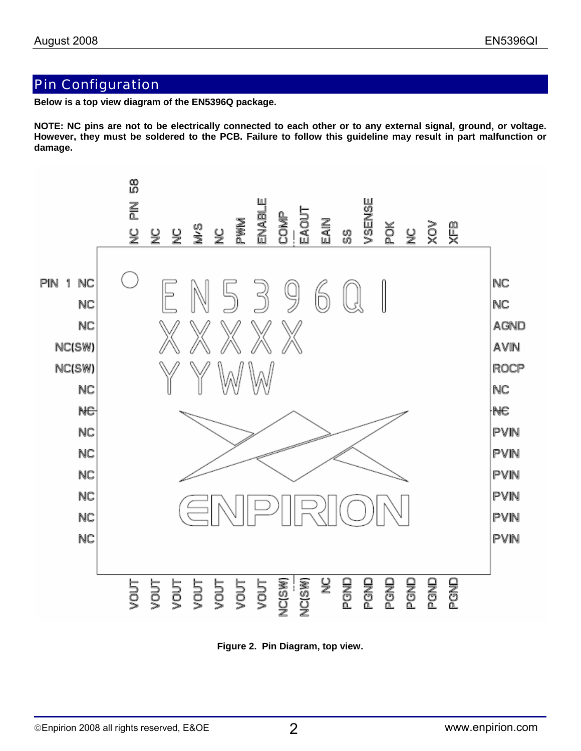#### Pin Configuration

**Below is a top view diagram of the EN5396Q package.** 

**NOTE: NC pins are not to be electrically connected to each other or to any external signal, ground, or voltage. However, they must be soldered to the PCB. Failure to follow this guideline may result in part malfunction or damage.** 



**Figure 2. Pin Diagram, top view.**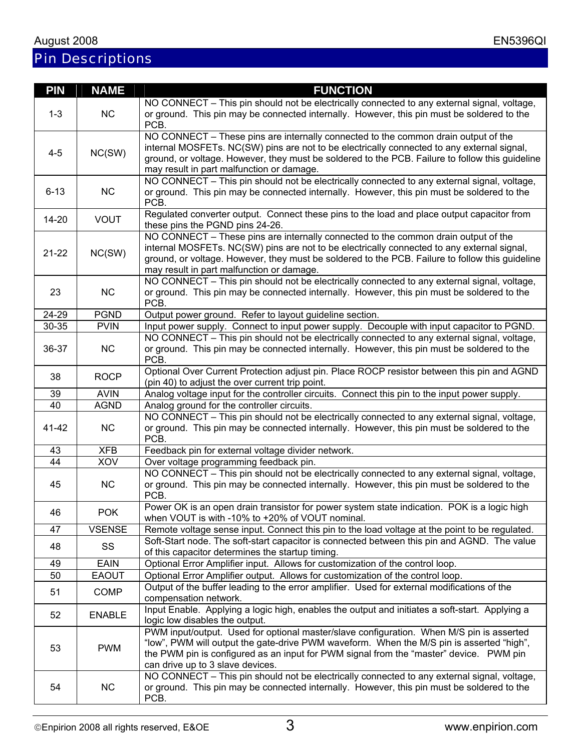# Pin Descriptions

| PIN                 | <b>NAME</b>   | <b>FUNCTION</b>                                                                                                                                                                                                                                                                                                                  |
|---------------------|---------------|----------------------------------------------------------------------------------------------------------------------------------------------------------------------------------------------------------------------------------------------------------------------------------------------------------------------------------|
| $1 - 3$             | <b>NC</b>     | NO CONNECT – This pin should not be electrically connected to any external signal, voltage,<br>or ground. This pin may be connected internally. However, this pin must be soldered to the                                                                                                                                        |
|                     |               | PCB.                                                                                                                                                                                                                                                                                                                             |
| $4 - 5$             | NC(SW)        | NO CONNECT - These pins are internally connected to the common drain output of the<br>internal MOSFETs. NC(SW) pins are not to be electrically connected to any external signal,<br>ground, or voltage. However, they must be soldered to the PCB. Failure to follow this guideline<br>may result in part malfunction or damage. |
| $6 - 13$            | NC            | NO CONNECT - This pin should not be electrically connected to any external signal, voltage,<br>or ground. This pin may be connected internally. However, this pin must be soldered to the<br>PCB.                                                                                                                                |
| $14 - 20$           | <b>VOUT</b>   | Regulated converter output. Connect these pins to the load and place output capacitor from<br>these pins the PGND pins 24-26.                                                                                                                                                                                                    |
| $21 - 22$           | NC(SW)        | NO CONNECT - These pins are internally connected to the common drain output of the<br>internal MOSFETs. NC(SW) pins are not to be electrically connected to any external signal,<br>ground, or voltage. However, they must be soldered to the PCB. Failure to follow this guideline<br>may result in part malfunction or damage. |
| 23                  | <b>NC</b>     | NO CONNECT - This pin should not be electrically connected to any external signal, voltage,<br>or ground. This pin may be connected internally. However, this pin must be soldered to the<br>PCB.                                                                                                                                |
| $\overline{2}$ 4-29 | <b>PGND</b>   | Output power ground. Refer to layout guideline section.                                                                                                                                                                                                                                                                          |
| 30-35               | <b>PVIN</b>   | Input power supply. Connect to input power supply. Decouple with input capacitor to PGND.                                                                                                                                                                                                                                        |
| 36-37               | <b>NC</b>     | NO CONNECT – This pin should not be electrically connected to any external signal, voltage,<br>or ground. This pin may be connected internally. However, this pin must be soldered to the<br>PCB.                                                                                                                                |
| 38                  | <b>ROCP</b>   | Optional Over Current Protection adjust pin. Place ROCP resistor between this pin and AGND<br>(pin 40) to adjust the over current trip point.                                                                                                                                                                                    |
| 39                  | <b>AVIN</b>   | Analog voltage input for the controller circuits. Connect this pin to the input power supply.                                                                                                                                                                                                                                    |
| 40                  | <b>AGND</b>   | Analog ground for the controller circuits.                                                                                                                                                                                                                                                                                       |
| 41-42               | <b>NC</b>     | NO CONNECT - This pin should not be electrically connected to any external signal, voltage,<br>or ground. This pin may be connected internally. However, this pin must be soldered to the<br>PCB.                                                                                                                                |
| 43                  | <b>XFB</b>    | Feedback pin for external voltage divider network.                                                                                                                                                                                                                                                                               |
| 44                  | XOV           | Over voltage programming feedback pin.                                                                                                                                                                                                                                                                                           |
| 45                  | <b>NC</b>     | NO CONNECT – This pin should not be electrically connected to any external signal, voltage,<br>or ground. This pin may be connected internally. However, this pin must be soldered to the<br>PCB.                                                                                                                                |
| 46                  | <b>POK</b>    | Power OK is an open drain transistor for power system state indication. POK is a logic high<br>when VOUT is with -10% to +20% of VOUT nominal.                                                                                                                                                                                   |
| 47                  | <b>VSENSE</b> | Remote voltage sense input. Connect this pin to the load voltage at the point to be regulated.                                                                                                                                                                                                                                   |
| 48                  | SS            | Soft-Start node. The soft-start capacitor is connected between this pin and AGND. The value<br>of this capacitor determines the startup timing.                                                                                                                                                                                  |
| 49                  | <b>EAIN</b>   | Optional Error Amplifier input. Allows for customization of the control loop.                                                                                                                                                                                                                                                    |
| 50                  | <b>EAOUT</b>  | Optional Error Amplifier output. Allows for customization of the control loop.                                                                                                                                                                                                                                                   |
| 51                  | <b>COMP</b>   | Output of the buffer leading to the error amplifier. Used for external modifications of the<br>compensation network.                                                                                                                                                                                                             |
| 52                  | <b>ENABLE</b> | Input Enable. Applying a logic high, enables the output and initiates a soft-start. Applying a<br>logic low disables the output.                                                                                                                                                                                                 |
| 53                  | <b>PWM</b>    | PWM input/output. Used for optional master/slave configuration. When M/S pin is asserted<br>"low", PWM will output the gate-drive PWM waveform. When the M/S pin is asserted "high",<br>the PWM pin is configured as an input for PWM signal from the "master" device. PWM pin<br>can drive up to 3 slave devices.               |
| 54                  | <b>NC</b>     | NO CONNECT - This pin should not be electrically connected to any external signal, voltage,<br>or ground. This pin may be connected internally. However, this pin must be soldered to the<br>PCB.                                                                                                                                |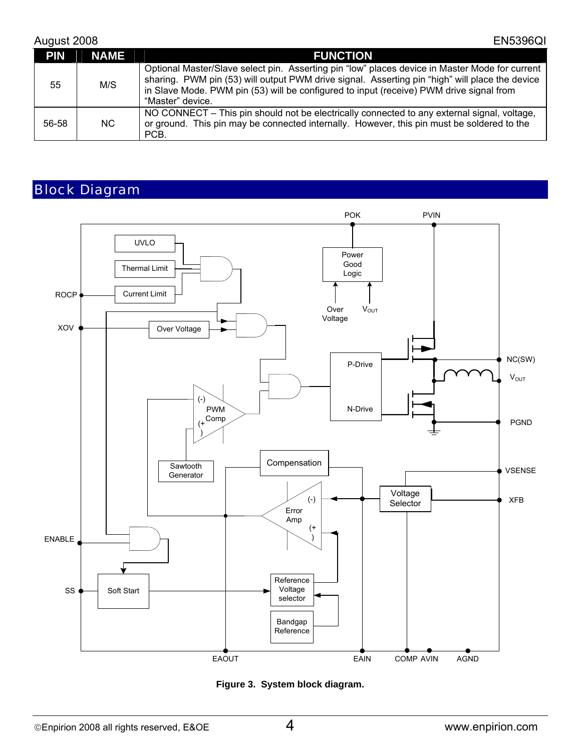#### August 2008 EN5396QI

| <b>PIN</b> | <b>NAME</b> | <b>FUNCTION</b>                                                                                                                                                                                                                                                                                                 |
|------------|-------------|-----------------------------------------------------------------------------------------------------------------------------------------------------------------------------------------------------------------------------------------------------------------------------------------------------------------|
| 55         | M/S         | Optional Master/Slave select pin. Asserting pin "low" places device in Master Mode for current<br>sharing. PWM pin (53) will output PWM drive signal. Asserting pin "high" will place the device<br>in Slave Mode. PWM pin (53) will be configured to input (receive) PWM drive signal from<br>"Master" device. |
| 56-58      | NC.         | NO CONNECT - This pin should not be electrically connected to any external signal, voltage,<br>or ground. This pin may be connected internally. However, this pin must be soldered to the<br>PCB.                                                                                                               |

# Block Diagram



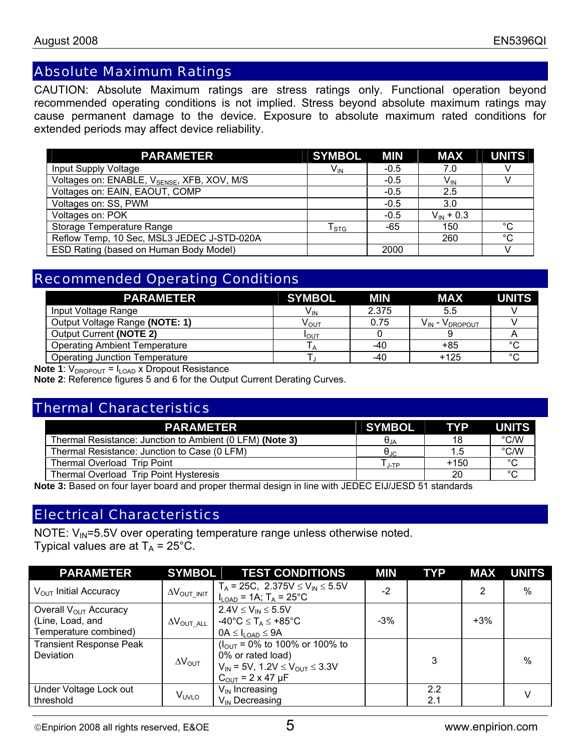#### Absolute Maximum Ratings

CAUTION: Absolute Maximum ratings are stress ratings only. Functional operation beyond recommended operating conditions is not implied. Stress beyond absolute maximum ratings may cause permanent damage to the device. Exposure to absolute maximum rated conditions for extended periods may affect device reliability.

| <b>PARAMETER</b>                                        | <b>SYMBOL</b>          | <b>MIN</b> | <b>MAX</b>      | <b>UNITS</b> |
|---------------------------------------------------------|------------------------|------------|-----------------|--------------|
| Input Supply Voltage                                    | $V_{\text{IN}}$        | $-0.5$     | 7.0             |              |
| Voltages on: ENABLE, V <sub>SENSE</sub> , XFB, XOV, M/S |                        | $-0.5$     | V <sub>IN</sub> |              |
| Voltages on: EAIN, EAOUT, COMP                          |                        | $-0.5$     | 2.5             |              |
| Voltages on: SS, PWM                                    |                        | $-0.5$     | 3.0             |              |
| Voltages on: POK                                        |                        | $-0.5$     | $V_{IN}$ + 0.3  |              |
| Storage Temperature Range                               | ${\sf T}_{\text{STG}}$ | -65        | 150             | $^{\circ}C$  |
| Reflow Temp, 10 Sec, MSL3 JEDEC J-STD-020A              |                        |            | 260             | $^{\circ}C$  |
| ESD Rating (based on Human Body Model)                  |                        | 2000       |                 |              |

#### Recommended Operating Conditions

| <b>PARAMETER</b>                      | <b>SYMBOL</b>    | MIN   | <b>MAX</b>               |        |
|---------------------------------------|------------------|-------|--------------------------|--------|
| Input Voltage Range                   | $V_{IN}$         | 2.375 | 5.5                      |        |
| Output Voltage Range (NOTE: 1)        | ν <sub>ουτ</sub> | 0.75  | $V_{IN}$ - $V_{DROPOUT}$ |        |
| Output Current (NOTE 2)               | <b>I</b> OUT     |       |                          |        |
| <b>Operating Ambient Temperature</b>  |                  | -40   | $+85$                    | $\sim$ |
| <b>Operating Junction Temperature</b> |                  | -40   | $+125$                   | $\sim$ |

**Note 1**:  $V_{DROPOUT} = I_{LOAD}$  x Dropout Resistance

**Note 2**: Reference figures 5 and 6 for the Output Current Derating Curves.

#### Thermal Characteristics

| <b>PARAMETER</b>                                         | <b>SYMBOL</b>                                | <b>TYP</b> | <b>UNITS</b>  |
|----------------------------------------------------------|----------------------------------------------|------------|---------------|
| Thermal Resistance: Junction to Ambient (0 LFM) (Note 3) | $\Theta_{JA}$                                | 18         | $\degree$ C/W |
| Thermal Resistance: Junction to Case (0 LFM)             | $\Theta_{\text{JC}}$                         | 1.5        | $\degree$ C/W |
| Thermal Overload Trip Point                              | $\mathsf{T}_{\mathsf{J}\text{-}\mathsf{TP}}$ | $+150$     | $\circ$       |
| Thermal Overload Trip Point Hysteresis                   |                                              | 20         | $\circ$       |

**Note 3:** Based on four layer board and proper thermal design in line with JEDEC EIJ/JESD 51 standards

#### Electrical Characteristics

NOTE:  $V_{\text{IN}}$ =5.5V over operating temperature range unless otherwise noted. Typical values are at  $T_A = 25^{\circ}$ C.

| <b>PARAMETER</b>                                                        | <b>SYMBOL</b>                            | <b>TEST CONDITIONS</b>                                                                                                                                                                          | <b>MIN</b> | <b>TYP</b> | <b>MAX</b> | <b>UNITS</b> |
|-------------------------------------------------------------------------|------------------------------------------|-------------------------------------------------------------------------------------------------------------------------------------------------------------------------------------------------|------------|------------|------------|--------------|
| $V_{\text{OUT}}$ Initial Accuracy                                       | $\Delta V_{\text{OUT\_INIT}}$            | $T_A = 25C$ , 2.375V $\leq V_{IN} \leq 5.5V$<br>$I_{LOAD} = 1A$ ; $T_A = 25^{\circ}C$                                                                                                           | $-2$       |            | 2          | %            |
| Overall $V_{OUT}$ Accuracy<br>(Line, Load, and<br>Temperature combined) | $\Delta{\mathsf{V}}_{\mathsf{OUT\_ALL}}$ | $2.4V \leq V_{IN} \leq 5.5V$<br>-40°C $\leq$ T <sub>A</sub> $\leq$ +85°C<br>$0A \leq I_{\text{LOAD}} \leq 9A$                                                                                   | $-3\%$     |            | $+3%$      |              |
| <b>Transient Response Peak</b><br><b>Deviation</b>                      | $\Delta V_{\text{OUT}}$                  | $(I_{\text{OUT}} = 0\% \text{ to } 100\% \text{ or } 100\% \text{ to }$<br>0% or rated load)<br>$V_{IN}$ = 5V, 1.2V $\leq$ V <sub>OUT</sub> $\leq$ 3.3V<br>$C_{\text{OUT}} = 2 \times 47 \mu F$ |            | 3          |            | %            |
| Under Voltage Lock out<br>threshold                                     | V <sub>UVLO</sub>                        | $V_{\text{IN}}$ Increasing<br>$V_{IN}$ Decreasing                                                                                                                                               |            | 2.2<br>2.1 |            |              |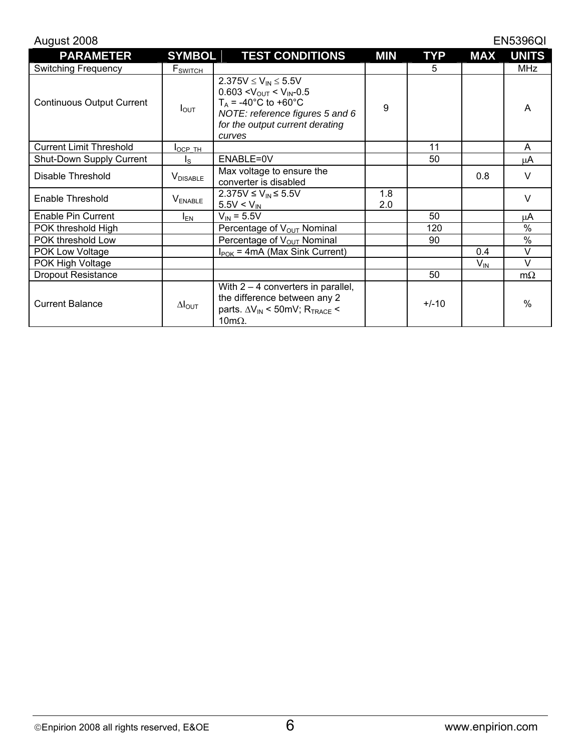| August 2008                      |                         |                                                                                                                                                                                                 |            |            |                 | <b>EN5396QI</b> |
|----------------------------------|-------------------------|-------------------------------------------------------------------------------------------------------------------------------------------------------------------------------------------------|------------|------------|-----------------|-----------------|
| <b>PARAMETER</b>                 | <b>SYMBOL</b>           | <b>TEST CONDITIONS</b>                                                                                                                                                                          | <b>MIN</b> | <b>TYP</b> | <b>MAX</b>      | <b>UNITS</b>    |
| <b>Switching Frequency</b>       | F <sub>SWITCH</sub>     |                                                                                                                                                                                                 |            | 5          |                 | <b>MHz</b>      |
| <b>Continuous Output Current</b> | $I_{\text{OUT}}$        | $2.375V \le V_{IN} \le 5.5V$<br>$0.603 < V_{\text{OUT}} < V_{\text{IN}} - 0.5$<br>$T_A = -40^{\circ}C$ to +60°C<br>NOTE: reference figures 5 and 6<br>for the output current derating<br>curves | 9          |            |                 | A               |
| <b>Current Limit Threshold</b>   | $I_{OCP}$ TH            |                                                                                                                                                                                                 |            | 11         |                 | A               |
| Shut-Down Supply Current         | $I_{\rm S}$             | ENABLE=0V                                                                                                                                                                                       |            | 50         |                 | μA              |
| Disable Threshold                | $V_{DISABLE}$           | Max voltage to ensure the<br>converter is disabled                                                                                                                                              |            |            | 0.8             | $\vee$          |
| Enable Threshold                 | V <sub>ENABLE</sub>     | $2.375V$ ≤ $V_{IN}$ ≤ 5.5V<br>$5.5V < V_{IN}$                                                                                                                                                   | 1.8<br>2.0 |            |                 | $\vee$          |
| Enable Pin Current               | $I_{EN}$                | $V_{IN} = 5.5V$                                                                                                                                                                                 |            | 50         |                 | μA              |
| POK threshold High               |                         | Percentage of V <sub>OUT</sub> Nominal                                                                                                                                                          |            | 120        |                 | $\%$            |
| POK threshold Low                |                         | Percentage of V <sub>OUT</sub> Nominal                                                                                                                                                          |            | 90         |                 | $\frac{0}{0}$   |
| POK Low Voltage                  |                         | $I_{\text{POK}}$ = 4mA (Max Sink Current)                                                                                                                                                       |            |            | 0.4             | $\vee$          |
| POK High Voltage                 |                         |                                                                                                                                                                                                 |            |            | $V_{\text{IN}}$ | $\vee$          |
| <b>Dropout Resistance</b>        |                         |                                                                                                                                                                                                 |            | 50         |                 | $m\Omega$       |
| <b>Current Balance</b>           | $\Delta I_{\text{OUT}}$ | With $2 - 4$ converters in parallel,<br>the difference between any 2<br>parts. $\Delta V_{IN}$ < 50mV; R <sub>TRACE</sub> <<br>$10 \text{m}\Omega$ .                                            |            | $+/-10$    |                 | $\frac{0}{0}$   |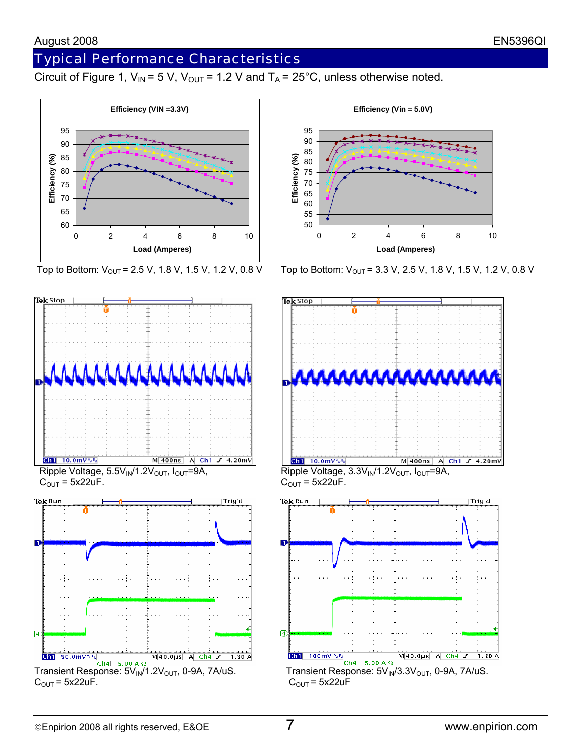# Typical Performance Characteristics

Circuit of Figure 1,  $V_{IN}$  = 5 V,  $V_{OUT}$  = 1.2 V and  $T_A$  = 25°C, unless otherwise noted.









Top to Bottom:  $V_{\text{OUT}}$  = 2.5 V, 1.8 V, 1.5 V, 1.2 V, 0.8 V Top to Bottom:  $V_{\text{OUT}}$  = 3.3 V, 2.5 V, 1.8 V, 1.5 V, 1.2 V, 0.8 V

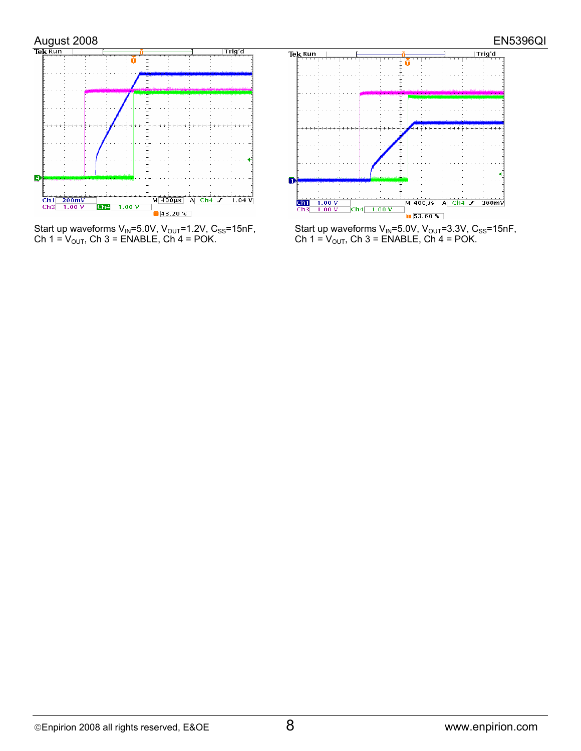

Start up waveforms  $V_{IN}$ =5.0V,  $V_{OUT}$ =1.2V,  $C_{SS}$ =15nF,<br>Ch 1 =  $V_{OUT}$ , Ch 3 = ENABLE, Ch 4 = POK.



Start up waveforms V<sub>IN</sub>=5.0V, V<sub>OUT</sub>=3.3V, C<sub>SS</sub>=15nF, Ch 1 = V<sub>OUT</sub>, Ch 3 = ENABLE, Ch 4 = POK.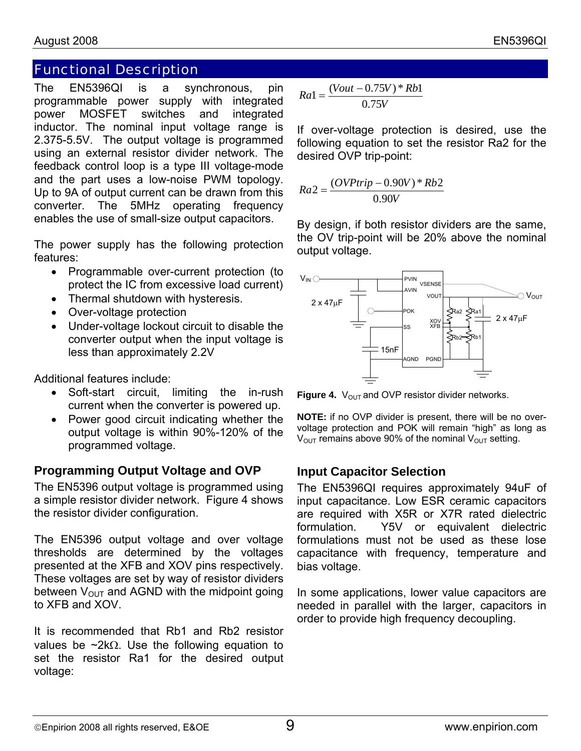### Functional Description

The EN5396QI is a synchronous, pin programmable power supply with integrated power MOSFET switches and integrated inductor. The nominal input voltage range is 2.375-5.5V. The output voltage is programmed using an external resistor divider network. The feedback control loop is a type III voltage-mode and the part uses a low-noise PWM topology. Up to 9A of output current can be drawn from this converter. The 5MHz operating frequency enables the use of small-size output capacitors.

The power supply has the following protection features:

- Programmable over-current protection (to protect the IC from excessive load current)
- Thermal shutdown with hysteresis.
- Over-voltage protection
- Under-voltage lockout circuit to disable the converter output when the input voltage is less than approximately 2.2V

Additional features include:

- Soft-start circuit, limiting the in-rush current when the converter is powered up.
- Power good circuit indicating whether the output voltage is within 90%-120% of the programmed voltage.

#### **Programming Output Voltage and OVP**

The EN5396 output voltage is programmed using a simple resistor divider network. Figure 4 shows the resistor divider configuration.

The EN5396 output voltage and over voltage thresholds are determined by the voltages presented at the XFB and XOV pins respectively. These voltages are set by way of resistor dividers between  $V_{\text{OUT}}$  and AGND with the midpoint going to XFB and XOV.

It is recommended that Rb1 and Rb2 resistor values be ~2kΩ. Use the following equation to set the resistor Ra1 for the desired output voltage:

$$
Ra1 = \frac{(Vout - 0.75V) * Rb1}{0.75V}
$$

If over-voltage protection is desired, use the following equation to set the resistor Ra2 for the desired OVP trip-point:

$$
Ra2 = \frac{(OVPtrip - 0.90V) * Rb2}{0.90V}
$$

By design, if both resistor dividers are the same, the OV trip-point will be 20% above the nominal output voltage.



**Figure 4.**  $V_{\text{OUT}}$  and OVP resistor divider networks.

**NOTE:** if no OVP divider is present, there will be no overvoltage protection and POK will remain "high" as long as  $V_{\text{OUT}}$  remains above 90% of the nominal  $V_{\text{OUT}}$  setting.

#### **Input Capacitor Selection**

The EN5396QI requires approximately 94uF of input capacitance. Low ESR ceramic capacitors are required with X5R or X7R rated dielectric formulation. Y5V or equivalent dielectric formulations must not be used as these lose capacitance with frequency, temperature and bias voltage.

In some applications, lower value capacitors are needed in parallel with the larger, capacitors in order to provide high frequency decoupling.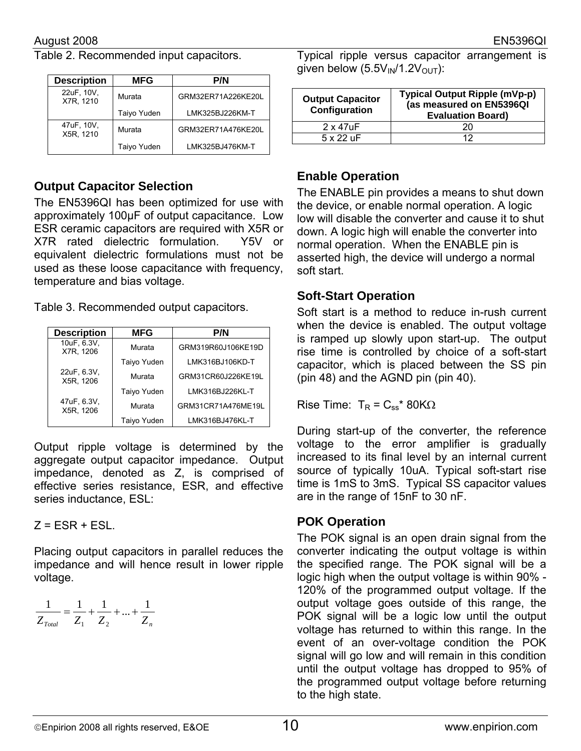Table 2. Recommended input capacitors.

| <b>Description</b>      | <b>MFG</b>  | <b>P/N</b>         |
|-------------------------|-------------|--------------------|
| 22uF, 10V,<br>X7R. 1210 | Murata      | GRM32ER71A226KE20L |
|                         | Taiyo Yuden | LMK325BJ226KM-T    |
| 47uF, 10V,<br>X5R. 1210 | Murata      | GRM32ER71A476KE20L |
|                         | Taiyo Yuden | LMK325BJ476KM-T    |

#### **Output Capacitor Selection**

The EN5396QI has been optimized for use with approximately 100µF of output capacitance. Low ESR ceramic capacitors are required with X5R or X7R rated dielectric formulation. Y5V or equivalent dielectric formulations must not be used as these loose capacitance with frequency, temperature and bias voltage.

Table 3. Recommended output capacitors.

| <b>Description</b>       | <b>MFG</b>  | <b>P/N</b>         |
|--------------------------|-------------|--------------------|
| 10uF, 6.3V,<br>X7R, 1206 | Murata      | GRM319R60J106KE19D |
|                          | Taiyo Yuden | LMK316BJ106KD-T    |
| 22uF, 6.3V,<br>X5R, 1206 | Murata      | GRM31CR60J226KE19L |
|                          | Taiyo Yuden | LMK316BJ226KL-T    |
| 47uF, 6.3V,<br>X5R, 1206 | Murata      | GRM31CR71A476ME19L |
|                          | Taiyo Yuden | LMK316BJ476KL-T    |

Output ripple voltage is determined by the aggregate output capacitor impedance. Output impedance, denoted as Z, is comprised of effective series resistance, ESR, and effective series inductance, ESL:

 $Z = ESR + ESL$ .

Placing output capacitors in parallel reduces the impedance and will hence result in lower ripple voltage.

$$
\frac{1}{Z_{\text{Total}}} = \frac{1}{Z_1} + \frac{1}{Z_2} + \dots + \frac{1}{Z_n}
$$

Typical ripple versus capacitor arrangement is given below  $(5.5V_{IN}/1.2V_{OUT})$ :

| <b>Output Capacitor</b><br>Configuration | Typical Output Ripple (mVp-p)<br>(as measured on EN5396QI<br><b>Evaluation Board)</b> |
|------------------------------------------|---------------------------------------------------------------------------------------|
| $2 \times 47$ uF                         |                                                                                       |
| $5 \times 22$ uF                         |                                                                                       |

#### **Enable Operation**

The ENABLE pin provides a means to shut down the device, or enable normal operation. A logic low will disable the converter and cause it to shut down. A logic high will enable the converter into normal operation. When the ENABLE pin is asserted high, the device will undergo a normal soft start.

#### **Soft-Start Operation**

Soft start is a method to reduce in-rush current when the device is enabled. The output voltage is ramped up slowly upon start-up. The output rise time is controlled by choice of a soft-start capacitor, which is placed between the SS pin (pin 48) and the AGND pin (pin 40).

Rise Time: T<sub>R</sub> = C<sub>ss</sub><sup>\*</sup> 80KΩ

During start-up of the converter, the reference voltage to the error amplifier is gradually increased to its final level by an internal current source of typically 10uA. Typical soft-start rise time is 1mS to 3mS. Typical SS capacitor values are in the range of 15nF to 30 nF.

#### **POK Operation**

The POK signal is an open drain signal from the converter indicating the output voltage is within the specified range. The POK signal will be a logic high when the output voltage is within 90% - 120% of the programmed output voltage. If the output voltage goes outside of this range, the POK signal will be a logic low until the output voltage has returned to within this range. In the event of an over-voltage condition the POK signal will go low and will remain in this condition until the output voltage has dropped to 95% of the programmed output voltage before returning to the high state.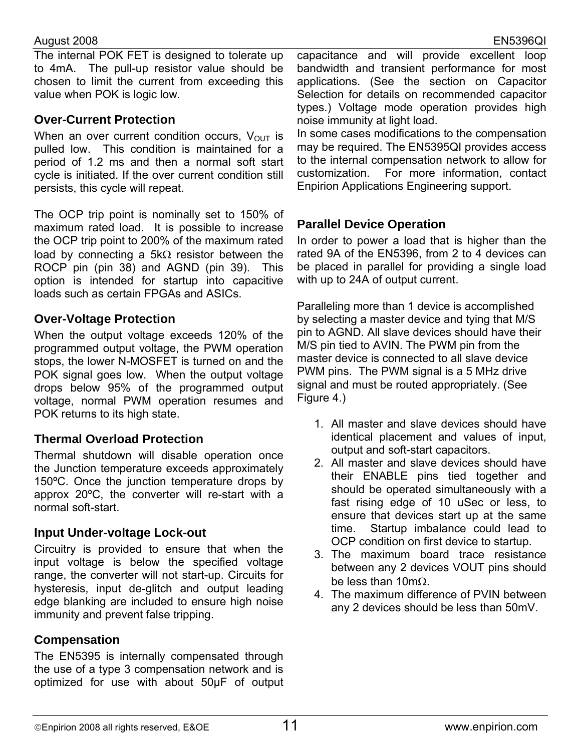#### August 2008 EN5396QI

The internal POK FET is designed to tolerate up to 4mA. The pull-up resistor value should be chosen to limit the current from exceeding this value when POK is logic low.

#### **Over-Current Protection**

When an over current condition occurs,  $V_{OUT}$  is pulled low. This condition is maintained for a period of 1.2 ms and then a normal soft start cycle is initiated. If the over current condition still persists, this cycle will repeat.

The OCP trip point is nominally set to 150% of maximum rated load. It is possible to increase the OCP trip point to 200% of the maximum rated load by connecting a 5kΩ resistor between the ROCP pin (pin 38) and AGND (pin 39). This option is intended for startup into capacitive loads such as certain FPGAs and ASICs.

#### **Over-Voltage Protection**

When the output voltage exceeds 120% of the programmed output voltage, the PWM operation stops, the lower N-MOSFET is turned on and the POK signal goes low. When the output voltage drops below 95% of the programmed output voltage, normal PWM operation resumes and POK returns to its high state.

#### **Thermal Overload Protection**

Thermal shutdown will disable operation once the Junction temperature exceeds approximately 150ºC. Once the junction temperature drops by approx 20ºC, the converter will re-start with a normal soft-start.

#### **Input Under-voltage Lock-out**

Circuitry is provided to ensure that when the input voltage is below the specified voltage range, the converter will not start-up. Circuits for hysteresis, input de-glitch and output leading edge blanking are included to ensure high noise immunity and prevent false tripping.

#### **Compensation**

The EN5395 is internally compensated through the use of a type 3 compensation network and is optimized for use with about 50µF of output capacitance and will provide excellent loop bandwidth and transient performance for most applications. (See the section on Capacitor Selection for details on recommended capacitor types.) Voltage mode operation provides high noise immunity at light load.

In some cases modifications to the compensation may be required. The EN5395QI provides access to the internal compensation network to allow for customization. For more information, contact Enpirion Applications Engineering support.

#### **Parallel Device Operation**

In order to power a load that is higher than the rated 9A of the EN5396, from 2 to 4 devices can be placed in parallel for providing a single load with up to 24A of output current.

Paralleling more than 1 device is accomplished by selecting a master device and tying that M/S pin to AGND. All slave devices should have their M/S pin tied to AVIN. The PWM pin from the master device is connected to all slave device PWM pins. The PWM signal is a 5 MHz drive signal and must be routed appropriately. (See Figure 4.)

- 1. All master and slave devices should have identical placement and values of input, output and soft-start capacitors.
- 2. All master and slave devices should have their ENABLE pins tied together and should be operated simultaneously with a fast rising edge of 10 uSec or less, to ensure that devices start up at the same time. Startup imbalance could lead to OCP condition on first device to startup.
- 3. The maximum board trace resistance between any 2 devices VOUT pins should be less than 10mΩ.
- 4. The maximum difference of PVIN between any 2 devices should be less than 50mV.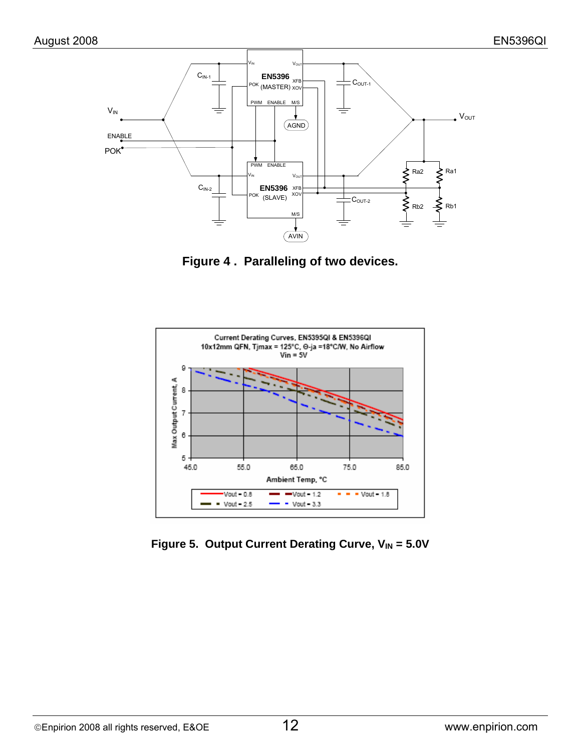

**Figure 4 . Paralleling of two devices.** 



Figure 5. Output Current Derating Curve, V<sub>IN</sub> = 5.0V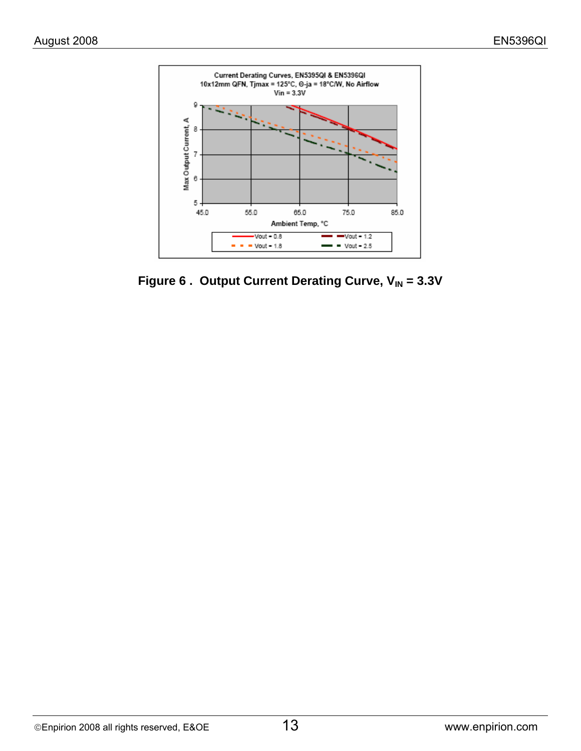

Figure 6. Output Current Derating Curve, V<sub>IN</sub> = 3.3V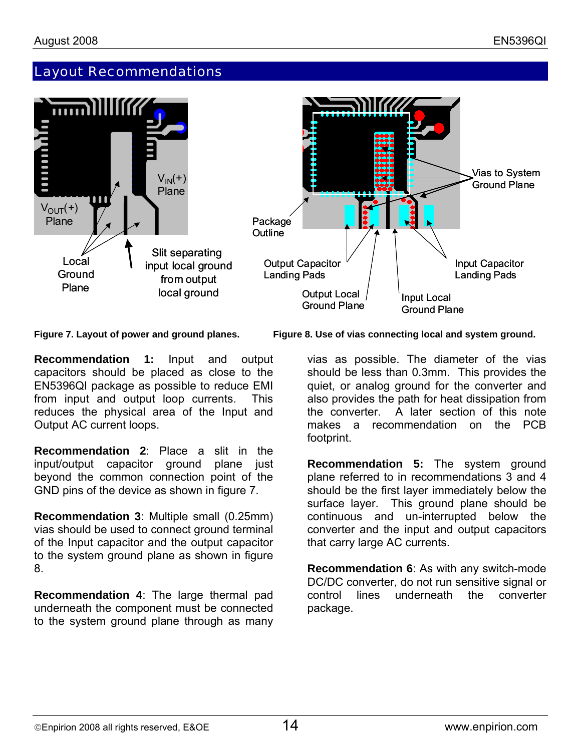## Layout Recommendations



**Recommendation 1:** Input and output capacitors should be placed as close to the EN5396QI package as possible to reduce EMI from input and output loop currents. This reduces the physical area of the Input and Output AC current loops.

**Recommendation 2**: Place a slit in the input/output capacitor ground plane just beyond the common connection point of the GND pins of the device as shown in figure 7.

**Recommendation 3**: Multiple small (0.25mm) vias should be used to connect ground terminal of the Input capacitor and the output capacitor to the system ground plane as shown in figure 8.

**Recommendation 4**: The large thermal pad underneath the component must be connected to the system ground plane through as many

**Figure 7. Layout of power and ground planes. Figure 8. Use of vias connecting local and system ground.** 

vias as possible. The diameter of the vias should be less than 0.3mm. This provides the quiet, or analog ground for the converter and also provides the path for heat dissipation from the converter. A later section of this note makes a recommendation on the PCB footprint.

**Recommendation 5:** The system ground plane referred to in recommendations 3 and 4 should be the first layer immediately below the surface layer. This ground plane should be continuous and un-interrupted below the converter and the input and output capacitors that carry large AC currents.

**Recommendation 6**: As with any switch-mode DC/DC converter, do not run sensitive signal or control lines underneath the converter package.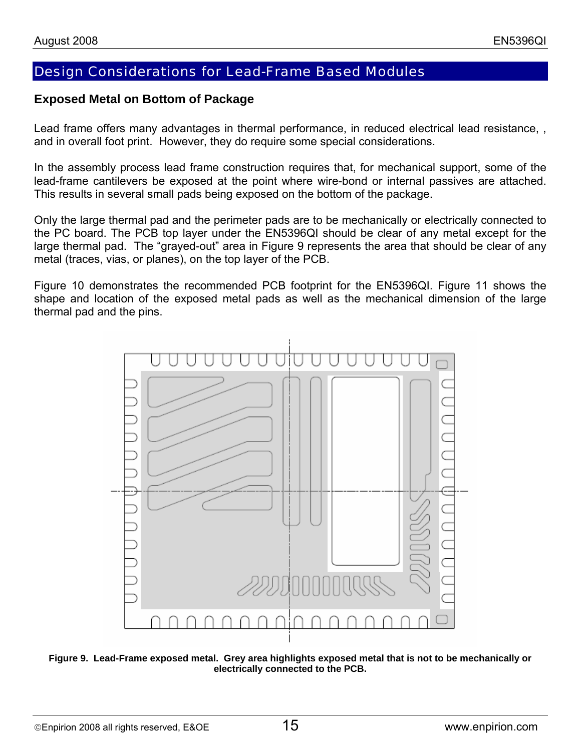#### Design Considerations for Lead-Frame Based Modules

#### **Exposed Metal on Bottom of Package**

Lead frame offers many advantages in thermal performance, in reduced electrical lead resistance, , and in overall foot print. However, they do require some special considerations.

In the assembly process lead frame construction requires that, for mechanical support, some of the lead-frame cantilevers be exposed at the point where wire-bond or internal passives are attached. This results in several small pads being exposed on the bottom of the package.

Only the large thermal pad and the perimeter pads are to be mechanically or electrically connected to the PC board. The PCB top layer under the EN5396QI should be clear of any metal except for the large thermal pad. The "grayed-out" area in Figure 9 represents the area that should be clear of any metal (traces, vias, or planes), on the top layer of the PCB.

Figure 10 demonstrates the recommended PCB footprint for the EN5396QI. Figure 11 shows the shape and location of the exposed metal pads as well as the mechanical dimension of the large thermal pad and the pins.



**Figure 9. Lead-Frame exposed metal. Grey area highlights exposed metal that is not to be mechanically or electrically connected to the PCB.**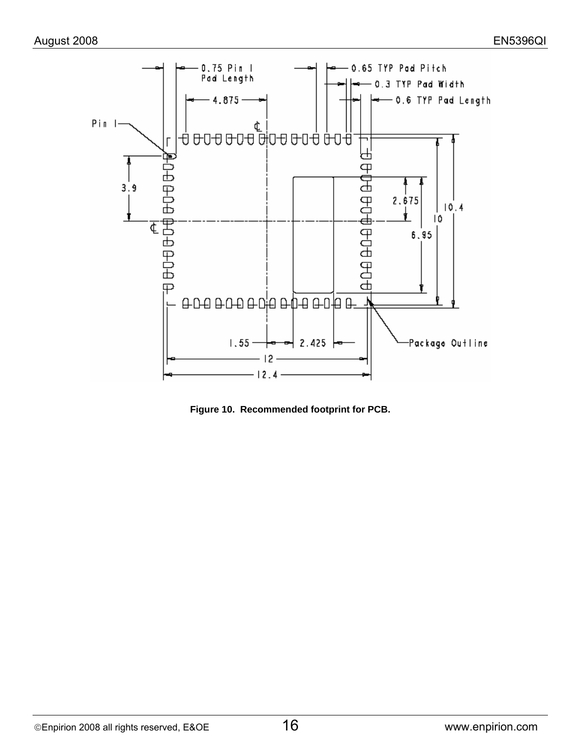

**Figure 10. Recommended footprint for PCB.**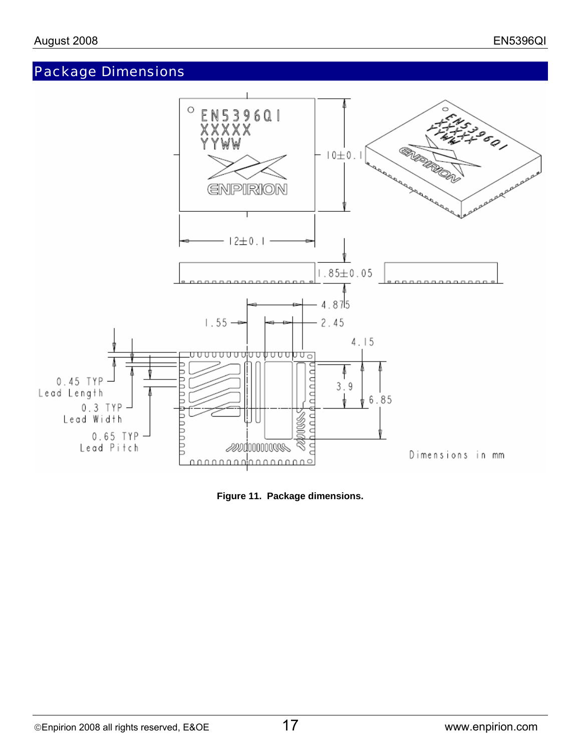# Package Dimensions



**Figure 11. Package dimensions.**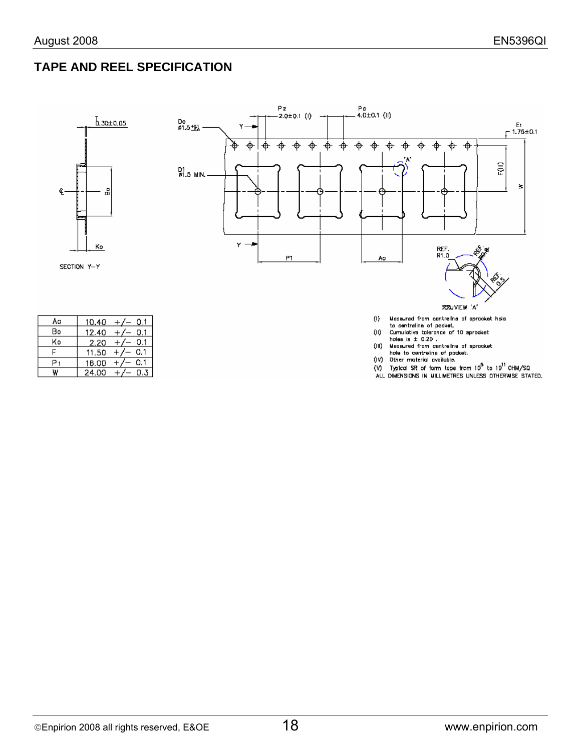#### **TAPE AND REEL SPECIFICATION**